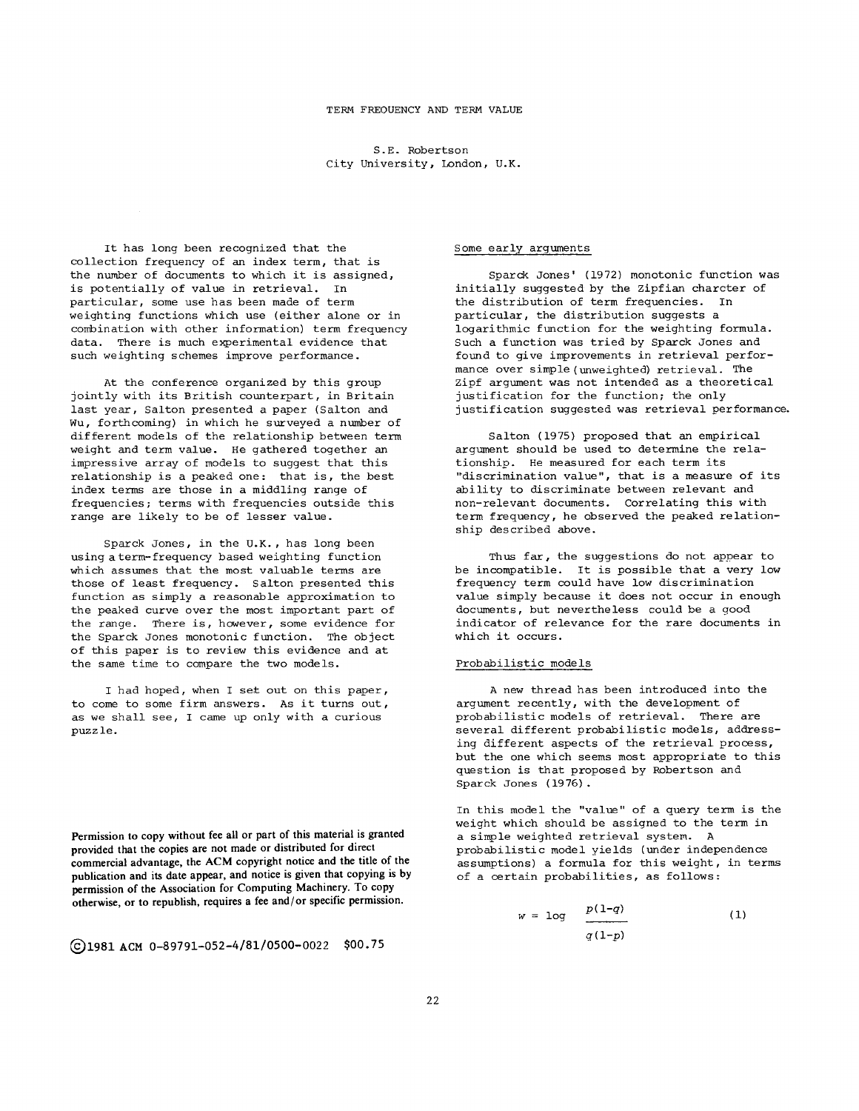**S.E.** Robertson City University, London, U.K.

It has long been recognized that the collection frequency of an index term, that is the number of documents to which it is assigned, is potentially of value in retrieval. In particular, some use has been made of term weighting functions which use (either alone or in combination with other information) term frequency data. There is much experimental evidence that such weighting schemes improve performance.

At the conference organized by this group jointly with its British counterpart, in Britain last year, Salton presented a paper (Salton and Wu, forthcoming) in which he surveyed a number of different models of the relationship between term weight and term value. He gathered together an impressive array of models to suggest that this relationship is a peaked one: that is, the best index terms are those in a middling range of frequencies; terms with frequencies outside this range are likely to be of lesser value.

Sparck Jones, in the U.K., has long been using a term-frequency based weighting function which assumes that the most valuable terms are those of least frequency. Salton presented this function as simply a reasonable approximation to the peaked curve over the most important part of the range. There is, however, some evidence for the Sparck Jones monotonic function. The object of this paper is to review this evidence and at the same time to compare the two models.

I had hoped, when I set out on this paper, to come to some firm answers. As it turns out, as we shall see, I came up only with a curious puzzle.

**Permission to copy without fee all or part of this material is granted provided that the copies are not made or distributed for direct commercial advantage, the ACM copyright notice and the title of the publication and its date appear, and notice is given that copying is by permission of the Association for Computing Machinery. To copy otherwise, or to republish, requires a fee and/or specific permission.** 

**Q1981 ACM 0-89791-052-4/81/0500-0022 \$00.75** 

## Some early arguments

Sparck Jones' (1972) monotonic function was initially suggested by the Zipfian charcter of the distribution of term frequencies. In particular, the distribution suggests a logarithmic function for the weighting formula. Such a function was tried by Sparck Jones and found to give improvements in retrieval performance over simple(unweighted) retrieval. The Zipf argument was not intended as a theoretical justification for the function; the only justification suggested was retrieval performance.

Salton (1975) proposed that an empirical argument should be used to determine the relationship. He measured for each term its "discrimination value", that is a measure of its ability to discriminate between relevant and non-relevant documents. Correlating this with term frequency, he observed the peaked relationship described above.

Thus far, the suggestions do not appear to be incompatible. It is possible that a very low frequency term could have low discrimination value simply because it does not occur in enough documents, but nevertheless could be a good indicator of relevance for the rare documents in which it occurs.

## Probabilistic models

A new thread has been introduced into the argument recently, with the development of probabilistic models of retrieval. There are several different probabilistic models, addressing different aspects of the retrieval process, but the one which seems most appropriate to this question is that proposed by Robertson and Sparck Jones (1976).

In this model the "value" of a query term is the weight which should be assigned to the term in a simple weighted retrieval system. A probabilistic model yields (under independence assumptions) a formula for this weight, in terms of a certain probabilities, as follows:

$$
w = \log \frac{p(1-q)}{q(1-p)} \tag{1}
$$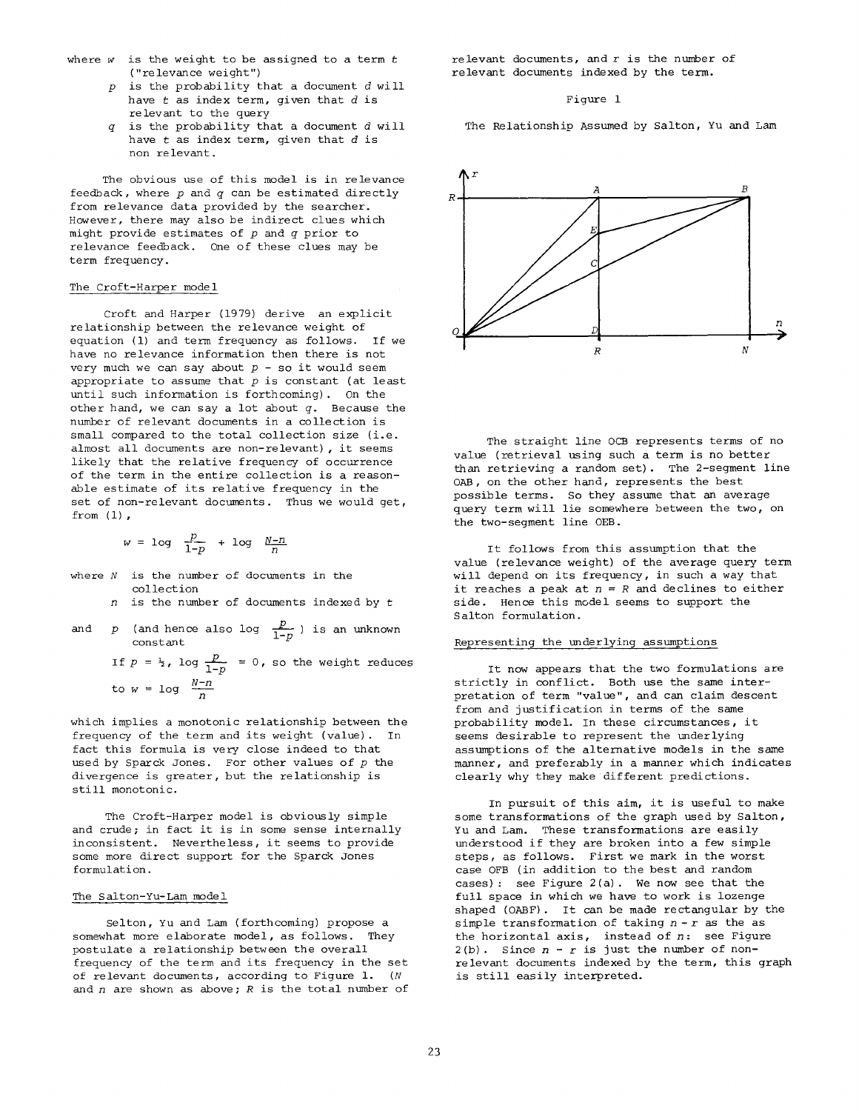- where  $w$  is the weight to be assigned to a term  $t$ ("relevance weight")
	- $p$  is the probability that a document  $d$  will have  $t$  as index term, given that  $d$  is relevant to the query
	- is the probability that a document  $d$  will  $\sigma$ have  $t$  as index term, given that  $d$  is non relevant.

The obvious use of this model is in relevance feedback, where  $p$  and  $q$  can be estimated directly from relevance data provided by the searcher. However, there may also be indirect clues which might provide estimates of  $p$  and  $q$  prior to relevance feedback. One of these clues may be term frequency.

## The Croft-Harper model

Croft and Harper (1979) derive an explicit relationship between the relevance weight of equation (1) and term frequency as follows. If we have no relevance information then there is not very much we can say about  $p - so$  it would seem appropriate to assume that  $p$  is constant (at least until such information is forthcoming). On the other hand, we can say a lot about  $q$ . Because the number of relevant documents in a collection is small compared to the total collection size (i.e. almost all documents are non-relevant), it seems likely that the relative frequency of occurrence of the term in the entire collection is a reasonable estimate of its relative frequency in the set of non-relevant documents. Thus we would get, from  $(1)$ ,

$$
w = \log \frac{p}{1-p} + \log \frac{N-n}{n}
$$

- where  $N$  is the number of documents in the collection
	- $n$  is the number of documents indexed by  $t$
- and p (and hence also log  $\frac{x}{1-p}$ ) is an unknown constant

If  $p = \frac{1}{2}$ , log  $\frac{p}{1-p}$  = 0, so the weight reduces to  $w = \log \frac{N-n}{n}$ 

which implies a monotonic relationship between the frequency of the term and its weight (value). In fact this formula is very close indeed to that used by Sparck Jones. For other values of  $p$  the divergence is greater, but the relationship is still monotonic.

The Croft-Harper model is obviously simple and crude; in fact it is in some sense internally inconsistent. Nevertheless, it seems to provide some more direct support for the Sparck Jones formulation.

# The Salton-Yu-Lam model

Selton, Yu and Lam (forthcoming) propose a somewhat more elaborate model, as follows. They postulate a relationship between the overall frequency of the term and its frequency in the set of relevant documents, according to Figure 1. (N and  $n$  are shown as above;  $R$  is the total number of relevant documents, and  $r$  is the number of relevant documents indexed by the term.

## Figure 1

The Relationship Assumed by Salton, Yu and Lam



The straight line OCB represents terms of no value (retrieval using such a term is no better than retrieving a random set). The 2-segment line OAB, on the other hand, represents the best possible terms. So they assume that an average query term will lie somewhere between the two, on the two-segment line OEB.

It follows from this assumption that the value (relevance weight) of the average query term will depend on its frequency, in such a way that it reaches a peak at  $n = R$  and declines to either side. Hence this model seems to support the Salton formulation.

# Representing the underlying assumptions

It now appears that the two formulations are strictly in conflict. Both use the same interpretation of term "value", and can claim descent from and justification in terms of the same probability model. In these circumstances, it seems desirable to represent the underlying assumptions of the alternative models in the same manner, and preferably in a manner which indicates clearly why they make different predictions.

In pursuit of this aim, it is useful to make some transformations of the graph used by Salton, Yu and Lam. These transformations are easily understood if they are broken into a few simple steps, as follows. First we mark in the worst case OFB (in addition to the best and random cases) : see Figure 2(a). We now see that the full space in which we have to work is lozenge shaped (OABF). It can be made rectangular by the simple transformation of taking  $n-r$  as the as the horizontal axis, instead of  $n$ : see Figure  $2(b)$ . Since  $n - r$  is just the number of nonrelevant documents indexed by the term, this graph is still easily interpreted.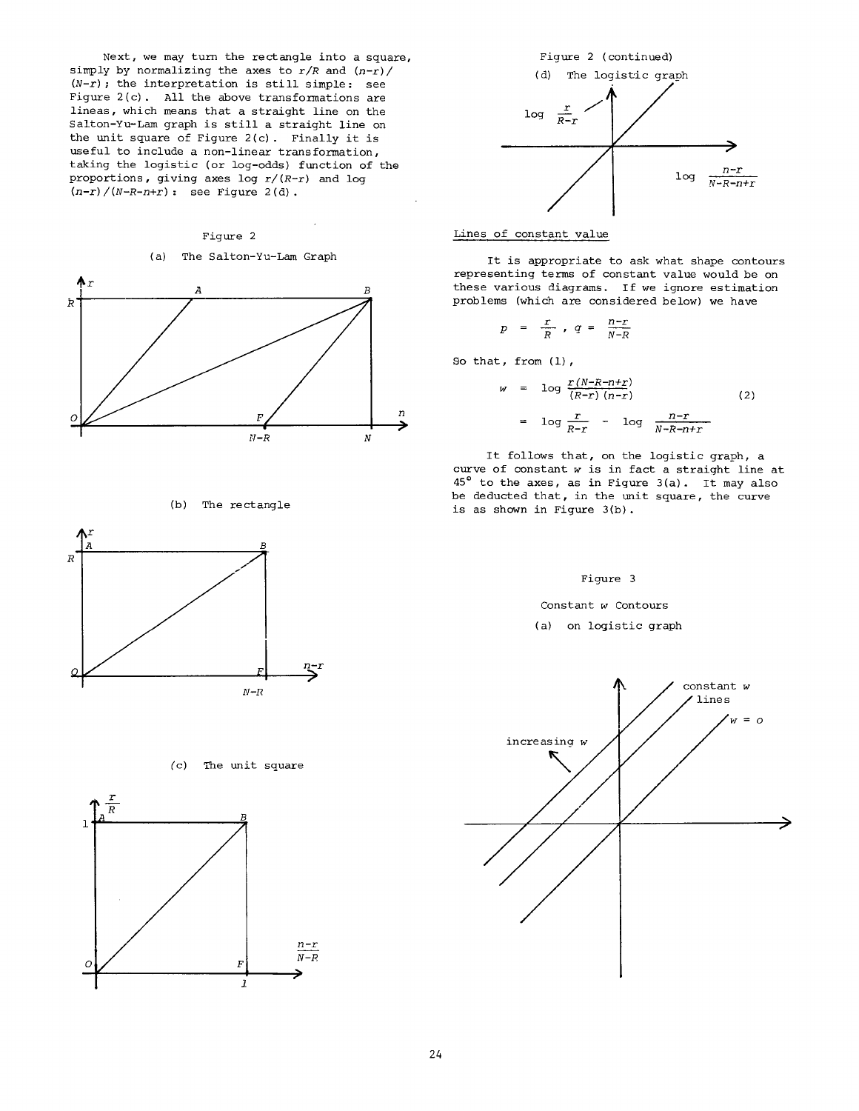Next, we may turn the rectangle into a square, simply by normalizing the axes to  $r/R$  and  $(n-r)/$  $(N-r)$ ; the interpretation is still simple: see Figure 2(c). All the above transformations are lineas, which means that a straight line on the Salton-Yu-Lam graph is still a straight line on the unit square of Figure 2(c) . Finally it is useful to include a non-linear transformation, taking the logistic (or log-odds) function of the proportions, giving axes log *r/(R-r)* and log *(n-r)/(N-R-n+r) :* see Figure 2(d).

#### Figure 2

# (a) The Salton-Yu-Lam Graph



## (b) The rectangle



## (c) The unit square





## Lines of constant value

It is appropriate to ask what shape contours representing terms of constant value would be on these various diagrams. If we ignore estimation problems (which are considered below) we have

$$
p = \frac{r}{R}, q = \frac{n-r}{N-R}
$$

So that, from (1),

$$
w = \log \frac{r(N-R-n+r)}{(R-r)(n-r)}
$$
(2)  

$$
= \log \frac{r}{R-r} - \log \frac{n-r}{N-R-n+r}
$$

It follows that, on the logistic graph, a curve of constant w is in fact a straight line at  $45^{\circ}$  to the axes, as in Figure 3(a). It may also be deducted that, in the unit square, the curve is as shown in Figure 3(b).

## Figure 3

Constant w Contours

(a) on logistic graph

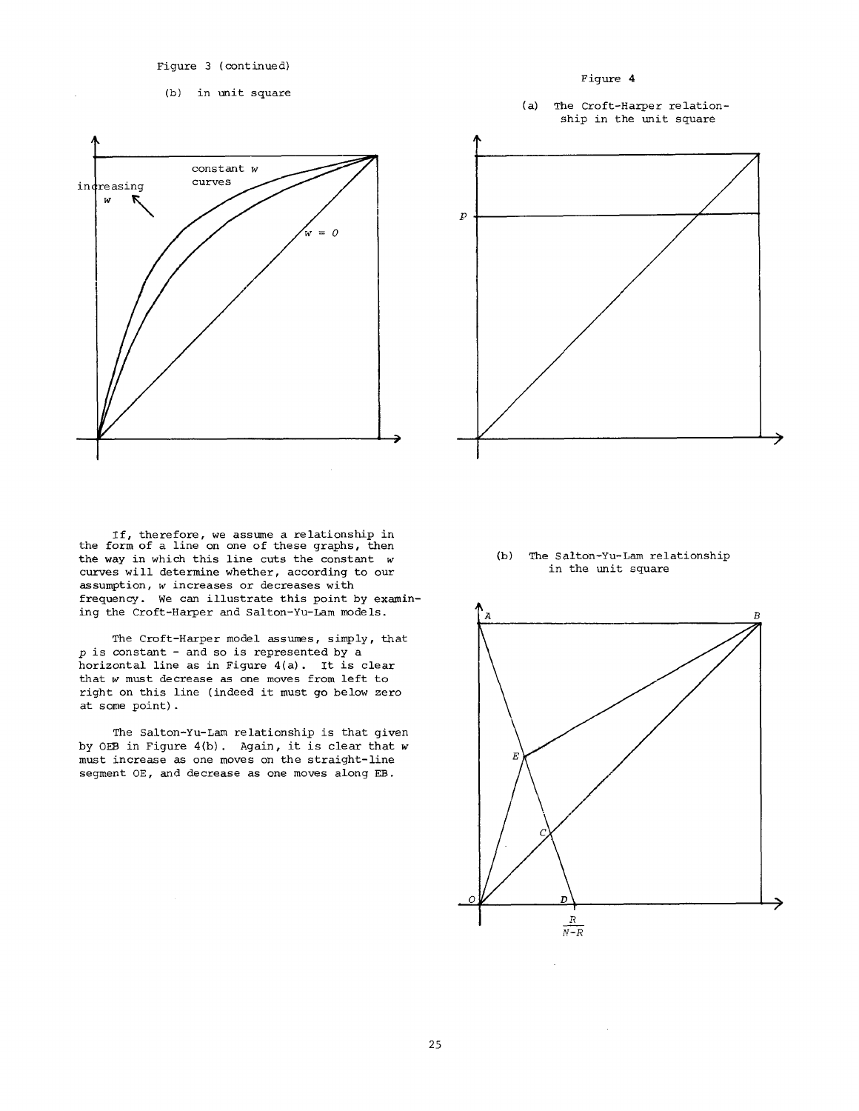Figure 3 (continued)

(b) in unit square



If, therefore, we assume a relationship in<br>the form of a line on one of these graphs, then the way in which this line cuts the constant w curves will determine whether, according to our assumption, w increases or decreases with frequency. We can illustrate this point by examining the Croft-Harper and Salton-Yu-Lam models.

The Croft-Harper model assumes, simply, that  $p$  is constant - and so is represented by a horizontal line as in Figure 4(a). It is clear that w must decrease as one moves from left to right on this line (indeed it must go below zero at some point).

The Salton-Yu-Lam relationship is that given by OEB in Figure 4(b). Again, it is clear that w must increase as one moves on the straight-line segment OE, and decrease as one moves along EB.



(b) The Salton-Yu-Lam relationship in the unit square

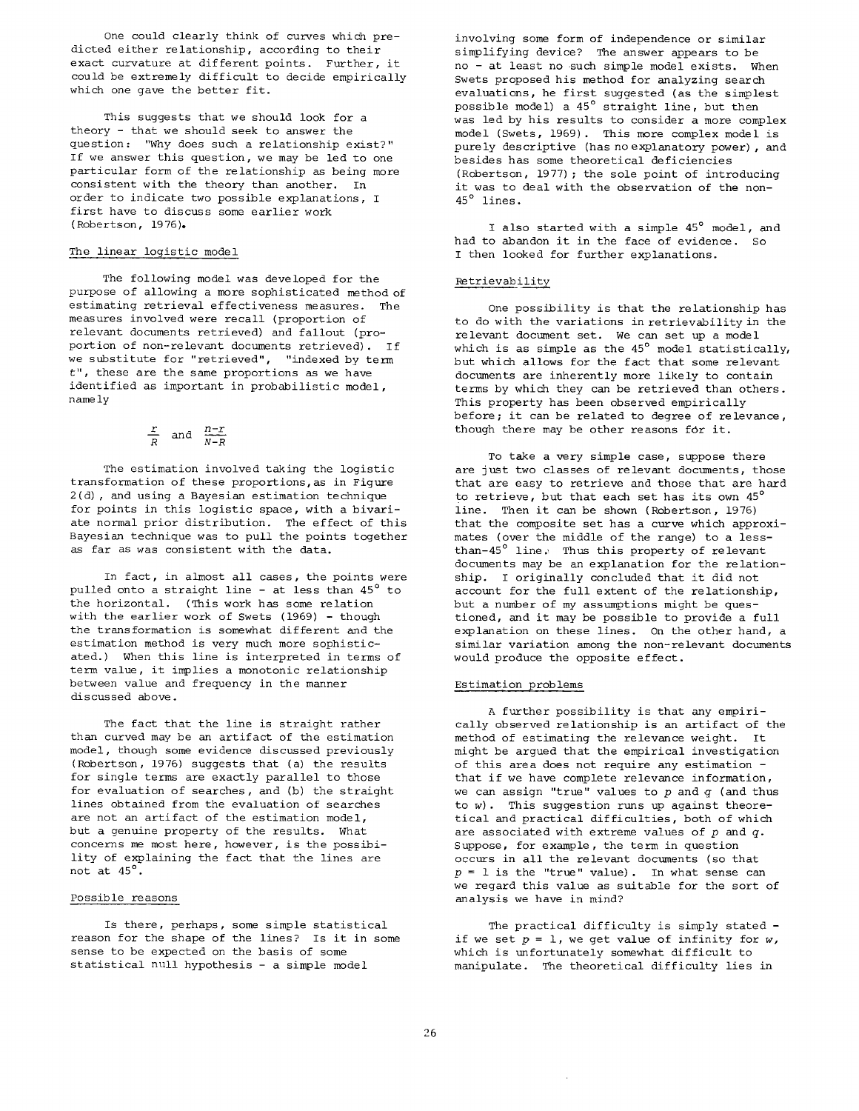One could clearly think of curves which predicted either relationship, according to their exact curvature at different points. Further, it could be extremely difficult to decide empirically which one gave the better fit.

This suggests that we should look for a theory - that we should seek to answer the question: "Why does such a relationship exist?" If we answer this question, we may be led to one particular form of the relationship as being more consistent with the theory than another. In order to indicate two possible explanations, I first have to discuss some earlier work (Robertson, 1976).

## The linear logistic model

The following model was developed for the purpose of allowing a more sophisticated method of estimating retrieval effectiveness measures. The measures involved were recall (proportion of relevant documents retrieved) and fallout (proportion of non-relevant documents retrieved). If we substitute for "retrieved", "indexed by term t", these are the same proportions as we have identified as important in probabilistic model, namely

$$
\frac{r}{R} \quad \text{and} \quad \frac{n-r}{N-R}
$$

The estimation involved taking the logistic transformation of these proportions,as in Figure 2(d) , and using a Bayesian estimation technique for points in this logistic space, with a bivariate normal prior distribution. The effect of this Bayesian technique was to pull the points together as far as was consistent with the data.

In fact, in almost all cases, the points were pulled onto a straight line - at less than  $45^{\circ}$  to the horizontal. (This work has some relation with the earlier work of Swets (1969) - though the transformation is somewhat different and the estimation method is very much more sophisticated.) When this line is interpreted in terms of term value, it implies a monotonic relationship between value and frequency in the manner discussed above.

The fact that the line is straight rather than curved may be an artifact of the estimation model, though some evidence discussed previously (Robertson, 1976) suggests that (a) the results for single terms are exactly parallel to those for evaluation of searches, and (b) the straight lines obtained from the evaluation of searches are not an artifact of the estimation model, but a genuine property of the results. What concerns me most here, however, is the possibility of explaining the fact that the lines are not at 45°.

## Possible reasons

Is there, perhaps, some simple statistical reason for the shape of the lines? Is it in some sense to be expected on the basis of some statistical null hypothesis - a simple model

involving some form of independence or similar simplifying device? The answer appears to be no - at least no such simple model exists. When Swets proposed his method for analyzing search evaluations, he first suggested (as the simplest possible model) a  $45^\circ$  straight line, but then was led by his results to consider a more complex model (Swets, 1969). This more complex model is purely descriptive (has no explanatory power), and besides has some theoretical deficiencies (Robertson, 1977) ; the sole point of introducing it was to deal with the observation of the non-45° lines.

I also started with a simple 45° model, and had to abandon it in the face of evidence. So I then looked for further explanations.

## Retrievability

One possibility is that the relationship has to do with the variations in retrievability in the relevant document set. We can set up a model which is as simple as the  $45^{\circ}$  model statistically, but which allows for the fact that some relevant documents are inherently more likely to contain terms by which they can be retrieved than others. This property has been observed empirically before; it can be related to degree of relevance, though there may be other reasons for it.

To take a very simple case, suppose there are just two classes of relevant documents, those that are easy to retrieve and those that are hard to retrieve, but that each set has its own  $45<sup>°</sup>$ line. Then it can be shown (Robertson, 1976) that the composite set has a curve which approximates (over the middle of the range) to a lessthan-45 $^{\circ}$  line. Thus this property of relevant documents may be an explanation for the relationship. I originally concluded that it did not account for the full extent of the relationship, but a number of my assumptions might be questioned, and it may be possible to provide a full explanation on these lines. On the other hand, a similar variation among the non-relevant documents would produce the opposite effect.

## Estimation problems

A further possibility is that any empirically observed relationship is an artifact of the method of estimating the relevance weight. It might be argued that the empirical investigation of this area does not require any estimation that if we have complete relevance information, we can assign "true" values to  $p$  and  $q$  (and thus to w). This suggestion runs up against theoretical and practical difficulties, both of which are associated with extreme values of  $p$  and  $q$ . Suppose, for example, the term in question occurs in all the relevant documents (so that  $p = 1$  is the "true" value). In what sense can we regard this value as suitable for the sort of analysis we have in mind?

The practical difficulty is simply stated if we set  $p = 1$ , we get value of infinity for  $w$ , which is unfortunately somewhat difficult to manipulate. The theoretical difficulty lies in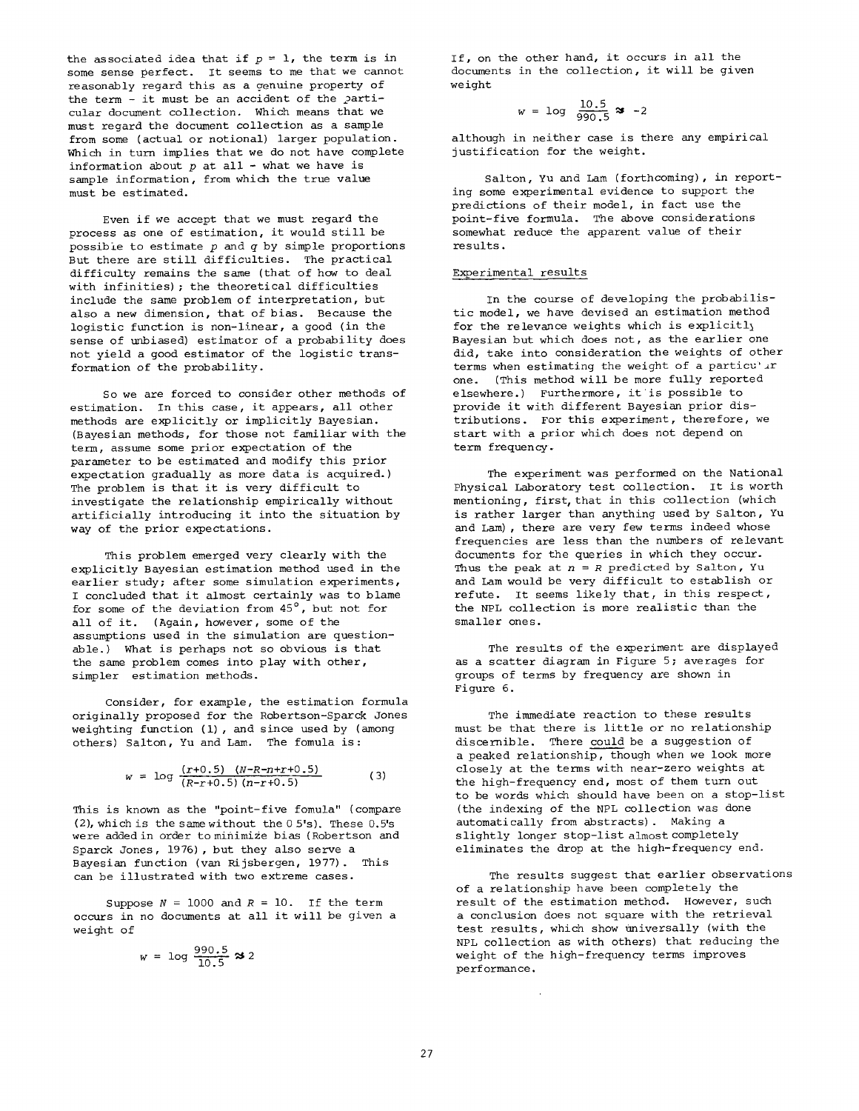the associated idea that if  $p = 1$ , the term is in some sense perfect. It seems to me that we cannot reasonably regard this as a genuine property of the term - it must be an accident of the particular document collection. Which means that we must regard the document collection as a sample from some (actual or notional) larger population. Which in turn implies that we do not have complete information about  $p$  at all - what we have is sample information, from which the true value must be estimated.

Even if we accept that we must regard the process as one of estimation, it would still be possible to estimate  $p$  and  $q$  by simple proportions But there are still difficulties. The practical difficulty remains the same (that of how to deal with infinities); the theoretical difficulties include the same problem of interpretation, but also a new dimension, that of bias. Because the logistic function is non-linear, a good (in the sense of unbiased) estimator of a probability does not yield a good estimator of the logistic transformation of the probability.

So we are forced to consider other methods of estimation. In this case, it appears, all other methods are explicitly or implicitly Bayesian. (Bayesian methods, for those not familiar with the term, assume some prior expectation of the parameter to be estimated and modify this prior expectation gradually as more data is acquired.) The problem is that it is very difficult to investigate the relationship empirically without artificially introducing it into the situation by way of the prior expectations.

This problem emerged very clearly with the explicitly Bayesian estimation method used in the earlier study; after some simulation experiments, I concluded that it almost certainly was to blame for some of the deviation from  $45^\circ$ , but not for all of it. (Again, however, some of the assumptions used in the simulation are questionable.) What is perhaps not so obvious is that the same problem comes into play with other, simpler estimation methods.

Consider, for example, the estimation formula originally proposed for the Robertson-Sparck Jones weighting function  $(1)$ , and since used by (among others) Salton, Yu and Lam. The fomula is:

$$
w = \log \frac{(r+0.5) (N-R-n+r+0.5)}{(R-r+0.5) (n-r+0.5)}
$$
 (3)

This is known as the "point-five fomula" (compare (2), which is the same without the 0 5's). These 0.5's were added in order to minimize bias (Robertson and Sparck Jones, 1976), but they also serve a Bayesian function (van Rijsbergen, 1977). This can be illustrated with two extreme cases.

Suppose  $N = 1000$  and  $R = 10$ . If the term occurs in no documents at all it will be given a weight of

$$
w = \log \frac{990.5}{10.5} \approx 2
$$

If, on the other hand, it occurs in all the documents in the collection, it will be given weight

$$
w = \log \frac{10.5}{990.5} \approx -2
$$

although in neither case is there any empirical justification for the weight.

Salton, Yu and Lam (forthcoming), in reporting some experimental evidence to support the predictions of their model, in fact use the point-five formula. The above considerations somewhat reduce the apparent value of their results.

# Experimental results

In the course of developing the probabilistic model, we have devised an estimation method for the relevance weights which is explicitly Bayesian but which does not, as the earlier one did, take into consideration the weights of other terms when estimating the weight of a particu'  $r$ one. (This method will be more fully reported elsewhere.) Furthermore, it is possible to provide it with different Bayesian prior distributions. For this experiment, therefore, we start with a prior which does not depend on term frequency.

The experiment was performed on the National Physical Laboratory test collection. It is worth mentioning, first, that in this collection (which is rather larger than anything used by Salton, Yu and Lam) , there are very few terms indeed whose frequencies are less than the numbers of relevant documents for the queries in which they occur. Thus the peak at  $n = R$  predicted by Salton, Yu and Lam would be very difficult to establish or refute. It seems likely that, in this respect, the NPL collection is more realistic than the smaller ones.

The results of the experiment are displayed as a scatter diagram in Figure 5; averages for groups of terms by frequency are shown in Figure 6.

The immediate reaction to these results must be that there is little or no relationship discernible. There could be a suggestion of a peaked relationship, though when we look more closely at the terms with near-zero weights at the high-frequency end, most of them turn out to be words which should have been on a stop-list (the indexing of the NPL collection was done automatically from abstracts). Making a slightly longer stop-list almost completely eliminates the drop at the high-frequency end.

The results suggest that earlier observations of a relationship have been completely the result of the estimation method. However, such a conclusion does not square with the retrieval test results, which show universally (with the NPL collection as with others) that reducing the weight of the high-frequency terms improves performance.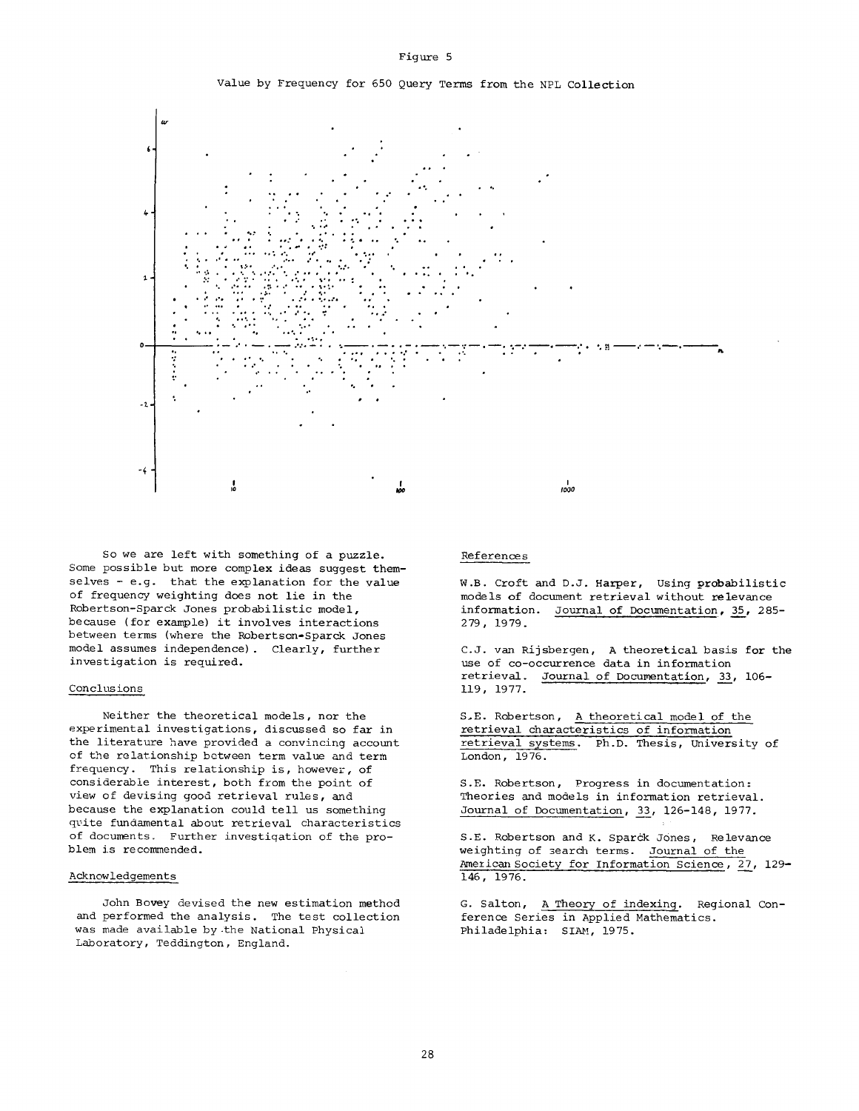

Value by Frequency for 650 Query Terms from the NPL Collection



So we are left with something of a puzzle. Some possible but more complex ideas suggest themselves - e.g. that the explanation for the value of frequency weighting does not lie in the Robertson-Sparck Jones probabilistic model, because (for example) it involves interactions between terms (where the Robertson-Sparck Jones model assumes independence). Clearly, further investigation is required.

## Conclusions

Neither the theoretical models, nor the experimental investigations, discussed so far in the literature have provided a convincing account of the relationship between term value and term frequency. This relationship is, however, of considerable interest, both from the point of view of devising good retrieval rules, and because the explanation could tell us something quite fundamental about retrieval characteristics of documents. Further investigation of the problem is recommended.

### Acknowledgements

John Bovey devised the new estimation method and performed the analysis. The test collection was made available by.the National Physical Laboratory, Teddington, England.

#### References

W.B. Croft and D.J. Harper, Using probabilistic models of document retrieval without relevance information. Journal of Documentation, 35, 285- 2 79, 19 79.

C.J. van Rijsbergen, A theoretical basis for the use of co-occurrence data in information retrieval. Journal of Documentation, 33, 106- 119, 1977.

S.E. Robertson, A theoretical model of the retrieval characteristics of information retrieval systems. Ph.D. Thesis, University of London, 1976.

S.E. Robertson, Progress in documentation: Theories and models in information retrieval. Journal of Documentation, 33, 126-148, 1977.

S.E. Robertson and K. Sparck Jones, Relevance weighting of 3earch terms. Journal of the American Society for Information Science, 27, 129-146, 1976.

G. Salton, A Theory of indexing. Regional Conference Series in Applied Mathematics. Philadelphia: SIAM, 1975.